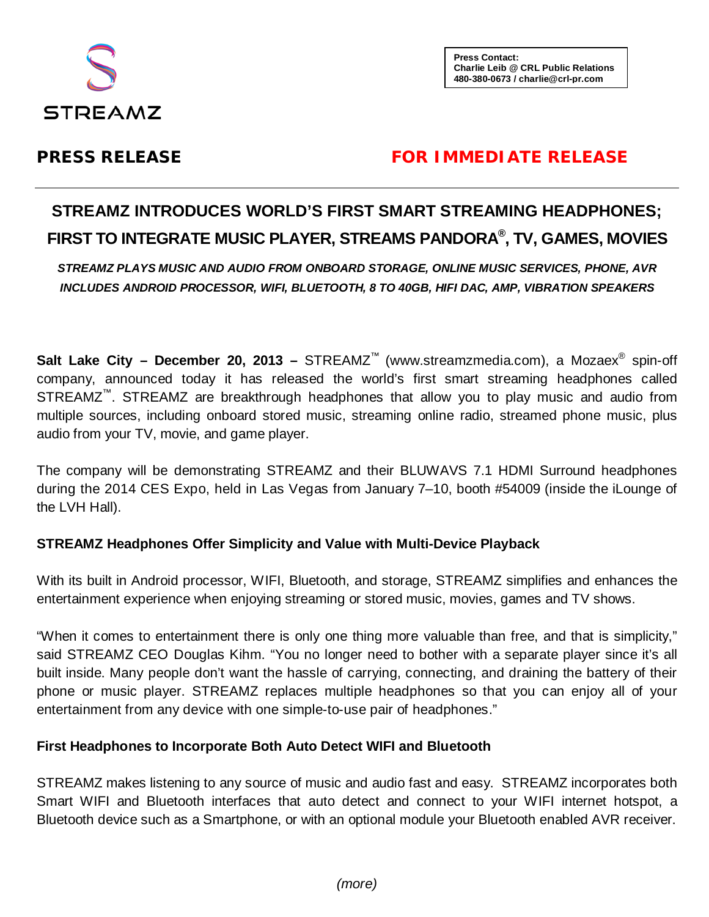

**Press Contact: Charlie Leib @ CRL Public Relations 480-380-0673 [/ charlie@crl-pr.com](mailto:charlie@crl-pr.com)**

## **PRESS RELEASE FOR IMMEDIATE RELEASE**

# **STREAMZ INTRODUCES WORLD'S FIRST SMART STREAMING HEADPHONES; FIRST TO INTEGRATE MUSIC PLAYER, STREAMS PANDORA® , TV, GAMES, MOVIES**

*STREAMZ PLAYS MUSIC AND AUDIO FROM ONBOARD STORAGE, ONLINE MUSIC SERVICES, PHONE, AVR INCLUDES ANDROID PROCESSOR, WIFI, BLUETOOTH, 8 TO 40GB, HIFI DAC, AMP, VIBRATION SPEAKERS*

**Salt Lake City – December 20, 2013 –** STREAMZ™ [\(www.streamzmedia.com\)](http://www.streamzmedia.com/), a Mozaex® spin-off company, announced today it has released the world's first smart streaming headphones called STREAMZ<sup>™</sup>. STREAMZ are breakthrough headphones that allow you to play music and audio from multiple sources, including onboard stored music, streaming online radio, streamed phone music, plus audio from your TV, movie, and game player.

The company will be demonstrating STREAMZ and their BLUWAVS 7.1 HDMI Surround headphones during the 2014 CES Expo, held in Las Vegas from January 7–10, booth #54009 (inside the iLounge of the LVH Hall).

## **STREAMZ Headphones Offer Simplicity and Value with Multi-Device Playback**

With its built in Android processor, WIFI, Bluetooth, and storage, STREAMZ simplifies and enhances the entertainment experience when enjoying streaming or stored music, movies, games and TV shows.

"When it comes to entertainment there is only one thing more valuable than free, and that is simplicity," said STREAMZ CEO Douglas Kihm. "You no longer need to bother with a separate player since it's all built inside. Many people don't want the hassle of carrying, connecting, and draining the battery of their phone or music player. STREAMZ replaces multiple headphones so that you can enjoy all of your entertainment from any device with one simple-to-use pair of headphones."

## **First Headphones to Incorporate Both Auto Detect WIFI and Bluetooth**

STREAMZ makes listening to any source of music and audio fast and easy. STREAMZ incorporates both Smart WIFI and Bluetooth interfaces that auto detect and connect to your WIFI internet hotspot, a Bluetooth device such as a Smartphone, or with an optional module your Bluetooth enabled AVR receiver.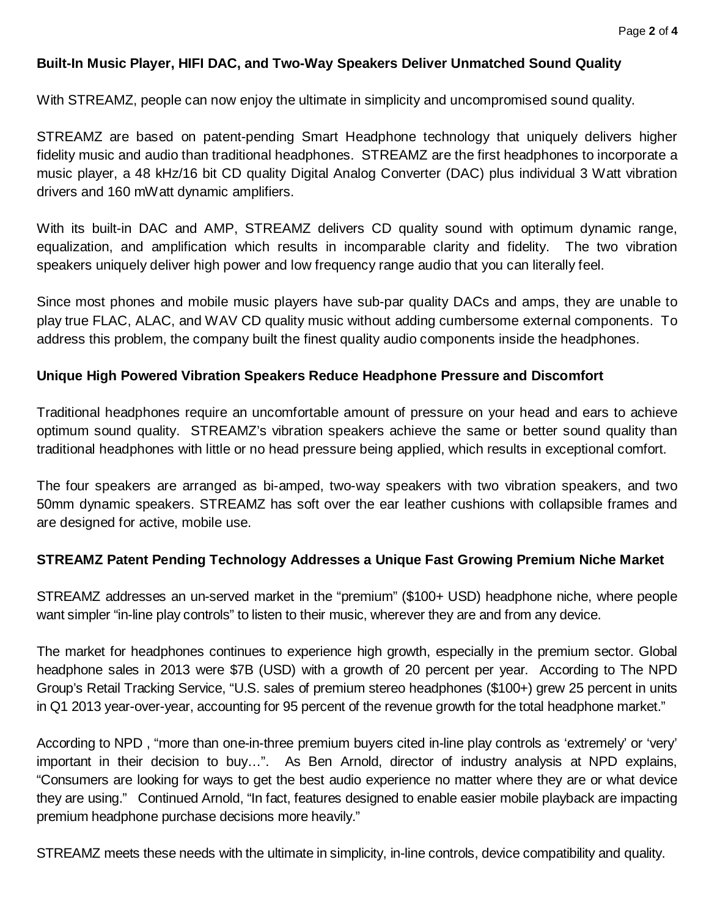## **Built-In Music Player, HIFI DAC, and Two-Way Speakers Deliver Unmatched Sound Quality**

With STREAMZ, people can now enjoy the ultimate in simplicity and uncompromised sound quality.

STREAMZ are based on patent-pending Smart Headphone technology that uniquely delivers higher fidelity music and audio than traditional headphones. STREAMZ are the first headphones to incorporate a music player, a 48 kHz/16 bit CD quality Digital Analog Converter (DAC) plus individual 3 Watt vibration drivers and 160 mWatt dynamic amplifiers.

With its built-in DAC and AMP, STREAMZ delivers CD quality sound with optimum dynamic range, equalization, and amplification which results in incomparable clarity and fidelity. The two vibration speakers uniquely deliver high power and low frequency range audio that you can literally feel.

Since most phones and mobile music players have sub-par quality DACs and amps, they are unable to play true FLAC, ALAC, and WAV CD quality music without adding cumbersome external components. To address this problem, the company built the finest quality audio components inside the headphones.

## **Unique High Powered Vibration Speakers Reduce Headphone Pressure and Discomfort**

Traditional headphones require an uncomfortable amount of pressure on your head and ears to achieve optimum sound quality. STREAMZ's vibration speakers achieve the same or better sound quality than traditional headphones with little or no head pressure being applied, which results in exceptional comfort.

The four speakers are arranged as bi-amped, two-way speakers with two vibration speakers, and two 50mm dynamic speakers. STREAMZ has soft over the ear leather cushions with collapsible frames and are designed for active, mobile use.

#### **STREAMZ Patent Pending Technology Addresses a Unique Fast Growing Premium Niche Market**

STREAMZ addresses an un-served market in the "premium" (\$100+ USD) headphone niche, where people want simpler "in-line play controls" to listen to their music, wherever they are and from any device.

The market for headphones continues to experience high growth, especially in the premium sector. Global headphone sales in 2013 were \$7B (USD) with a growth of 20 percent per year. According to The NPD Group's Retail Tracking Service, "U.S. sales of premium stereo headphones (\$100+) grew 25 percent in units in Q1 2013 year-over-year, accounting for 95 percent of the revenue growth for the total headphone market."

According to NPD , "more than one-in-three premium buyers cited in-line play controls as 'extremely' or 'very' important in their decision to buy…". As Ben Arnold, director of industry analysis at NPD explains, "Consumers are looking for ways to get the best audio experience no matter where they are or what device they are using." Continued Arnold, "In fact, features designed to enable easier mobile playback are impacting premium headphone purchase decisions more heavily."

STREAMZ meets these needs with the ultimate in simplicity, in-line controls, device compatibility and quality.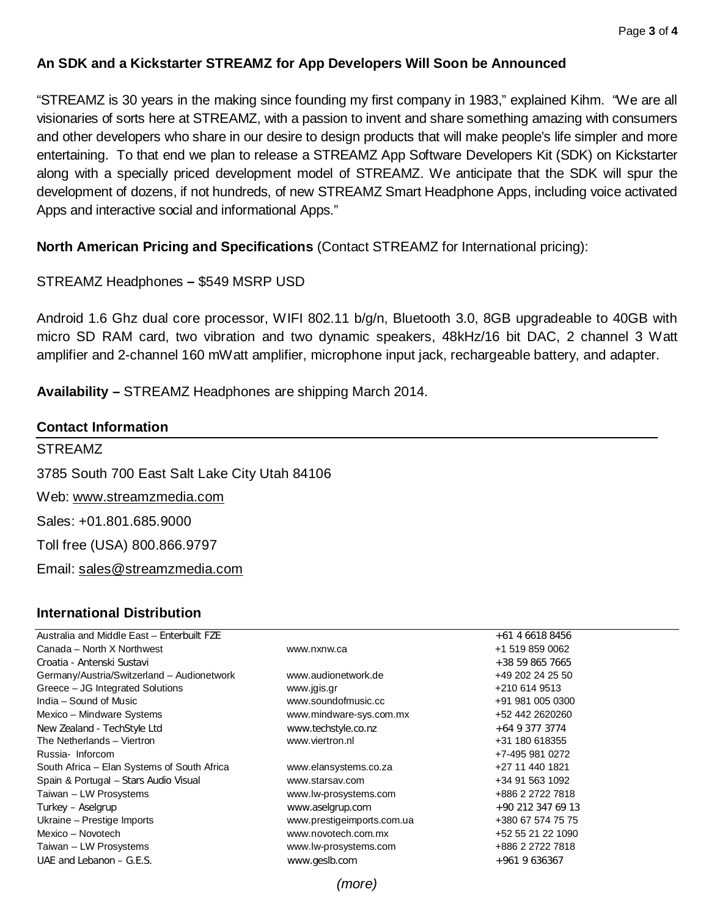## **An SDK and a Kickstarter STREAMZ for App Developers Will Soon be Announced**

"STREAMZ is 30 years in the making since founding my first company in 1983," explained Kihm. "We are all visionaries of sorts here at STREAMZ, with a passion to invent and share something amazing with consumers and other developers who share in our desire to design products that will make people's life simpler and more entertaining. To that end we plan to release a STREAMZ App Software Developers Kit (SDK) on Kickstarter along with a specially priced development model of STREAMZ. We anticipate that the SDK will spur the development of dozens, if not hundreds, of new STREAMZ Smart Headphone Apps, including voice activated Apps and interactive social and informational Apps."

#### **North American Pricing and Specifications** (Contact STREAMZ for International pricing):

#### STREAMZ Headphones **–** \$549 MSRP USD

Android 1.6 Ghz dual core processor, WIFI 802.11 b/g/n, Bluetooth 3.0, 8GB upgradeable to 40GB with micro SD RAM card, two vibration and two dynamic speakers, 48kHz/16 bit DAC, 2 channel 3 Watt amplifier and 2-channel 160 mWatt amplifier, microphone input jack, rechargeable battery, and adapter.

**Availability –** STREAMZ Headphones are shipping March 2014.

## **Contact Information** STREAMZ 3785 South 700 East Salt Lake City Utah 84106 Web: [www.streamzmedia.com](http://www.streamzmedia.com/) Sales: +01.801.685.9000 Toll free (USA) 800.866.9797 Email: [sales@streamzmedia.com](mailto:sales@streamzmedia.com)

#### **International Distribution**

| Australia and Middle East - Enterbuilt FZE  |                            | $+61$ 4 6618 8456 |
|---------------------------------------------|----------------------------|-------------------|
| Canada – North X Northwest                  | www.nxnw.ca                | +1 519 859 0062   |
| Croatia - Antenski Sustavi                  |                            | $+38598657665$    |
| Germany/Austria/Switzerland - Audionetwork  | www.audionetwork.de        | +49 202 24 25 50  |
| Greece - JG Integrated Solutions            | www.jgis.gr                | +210 614 9513     |
| India – Sound of Music                      | www.soundofmusic.cc        | +91 981 005 0300  |
| Mexico – Mindware Systems                   | www.mindware-sys.com.mx    | +52 442 2620260   |
| New Zealand - TechStyle Ltd                 | www.techstyle.co.nz        | $+6493773774$     |
| The Netherlands - Viertron                  | www.viertron.nl            | +31 180 618355    |
| Russia-Inforcom                             |                            | +7-495 981 0272   |
| South Africa – Elan Systems of South Africa | www.elansystems.co.za      | +27 11 440 1821   |
| Spain & Portugal - Stars Audio Visual       | www.starsay.com            | +34 91 563 1092   |
| Taiwan - LW Prosystems                      | www.lw-prosystems.com      | +886 2 2722 7818  |
| Turkey – Aselgrup                           | www.aselgrup.com           | +90 212 347 69 13 |
| Ukraine - Prestige Imports                  | www.prestigeimports.com.ua | +380 67 574 75 75 |
| Mexico - Novotech                           | www.novotech.com.mx        | +52 55 21 22 1090 |
| Taiwan – LW Prosystems                      | www.lw-prosystems.com      | +886 2 2722 7818  |
| UAE and Lebanon $-$ G.E.S.                  | www.geslb.com              | +961 9 636367     |
|                                             |                            |                   |

*(more)*